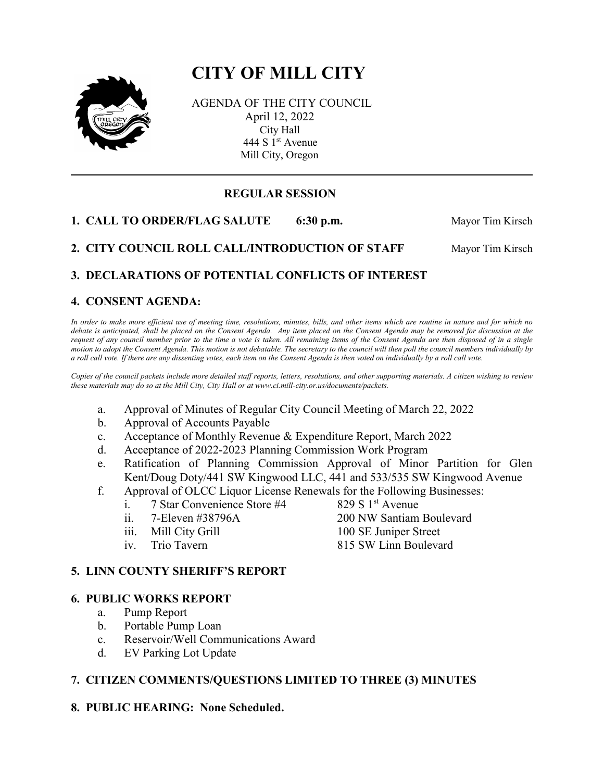# **CITY OF MILL CITY**



AGENDA OF THE CITY COUNCIL April 12, 2022 City Hall 444 S 1<sup>st</sup> Avenue Mill City, Oregon

## **REGULAR SESSION**

**1. CALL TO ORDER/FLAG SALUTE** 6:30 p.m. Mayor Tim Kirsch

2. CITY COUNCIL ROLL CALL/INTRODUCTION OF STAFF Mayor Tim Kirsch

# **3. DECLARATIONS OF POTENTIAL CONFLICTS OF INTEREST**

#### **4. CONSENT AGENDA:**

*In order to make more efficient use of meeting time, resolutions, minutes, bills, and other items which are routine in nature and for which no debate is anticipated, shall be placed on the Consent Agenda. Any item placed on the Consent Agenda may be removed for discussion at the request of any council member prior to the time a vote is taken. All remaining items of the Consent Agenda are then disposed of in a single motion to adopt the Consent Agenda. This motion is not debatable. The secretary to the council will then poll the council members individually by a roll call vote. If there are any dissenting votes, each item on the Consent Agenda is then voted on individually by a roll call vote.*

*Copies of the council packets include more detailed staff reports, letters, resolutions, and other supporting materials. A citizen wishing to review these materials may do so at the Mill City, City Hall or at www.ci.mill-city.or.us/documents/packets.*

- a. Approval of Minutes of Regular City Council Meeting of March 22, 2022
- b. Approval of Accounts Payable
- c. Acceptance of Monthly Revenue & Expenditure Report, March 2022
- d. Acceptance of 2022-2023 Planning Commission Work Program
- e. Ratification of Planning Commission Approval of Minor Partition for Glen Kent/Doug Doty/441 SW Kingwood LLC, 441 and 533/535 SW Kingwood Avenue
- f. Approval of OLCC Liquor License Renewals for the Following Businesses:
	- i. 7 Star Convenience Store  $#4$  829 S 1<sup>st</sup> Avenue
	- ii. 7-Eleven #38796A 200 NW Santiam Boulevard
	- iii. Mill City Grill 100 SE Juniper Street
	-

- 
- iv. Trio Tavern 815 SW Linn Boulevard

#### **5. LINN COUNTY SHERIFF'S REPORT**

#### **6. PUBLIC WORKS REPORT**

- a. Pump Report
- b. Portable Pump Loan
- c. Reservoir/Well Communications Award
- d. EV Parking Lot Update

## **7. CITIZEN COMMENTS/QUESTIONS LIMITED TO THREE (3) MINUTES**

**8. PUBLIC HEARING: None Scheduled.**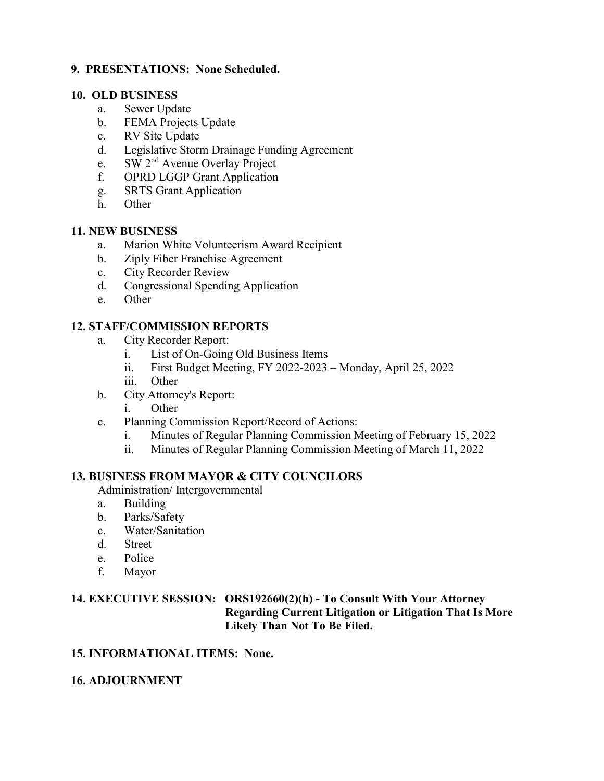#### **9. PRESENTATIONS: None Scheduled.**

#### **10. OLD BUSINESS**

- a. Sewer Update
- b. FEMA Projects Update
- c. RV Site Update
- d. Legislative Storm Drainage Funding Agreement
- e. SW 2nd Avenue Overlay Project
- f. OPRD LGGP Grant Application
- g. SRTS Grant Application
- h. Other

## **11. NEW BUSINESS**

- a. Marion White Volunteerism Award Recipient
- b. Ziply Fiber Franchise Agreement
- c. City Recorder Review
- d. Congressional Spending Application
- e. Other

## **12. STAFF/COMMISSION REPORTS**

- a. City Recorder Report:
	- i. List of On-Going Old Business Items
	- ii. First Budget Meeting, FY 2022-2023 Monday, April 25, 2022
	- iii. Other
- b. City Attorney's Report:
	- i. Other
- c. Planning Commission Report/Record of Actions:
	- i. Minutes of Regular Planning Commission Meeting of February 15, 2022
	- ii. Minutes of Regular Planning Commission Meeting of March 11, 2022

## **13. BUSINESS FROM MAYOR & CITY COUNCILORS**

Administration/ Intergovernmental

- a. Building
- b. Parks/Safety
- c. Water/Sanitation
- d. Street
- e. Police
- f. Mayor

## **14. EXECUTIVE SESSION: ORS192660(2)(h) - To Consult With Your Attorney Regarding Current Litigation or Litigation That Is More Likely Than Not To Be Filed.**

## **15. INFORMATIONAL ITEMS: None.**

## **16. ADJOURNMENT**